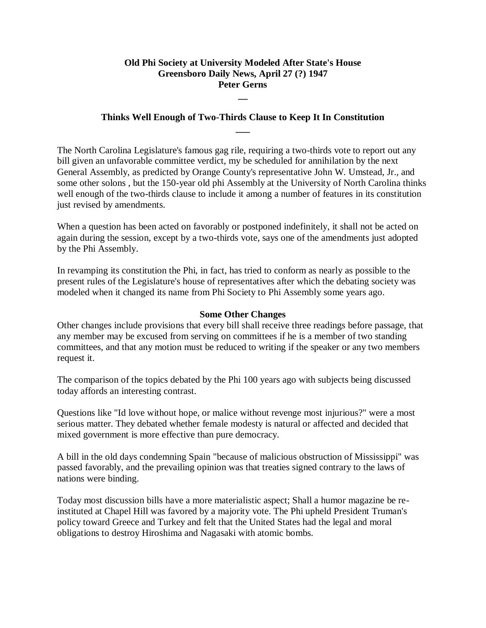## **Old Phi Society at University Modeled After State's House Greensboro Daily News, April 27 (?) 1947 Peter Gerns**

**\_\_**

## **Thinks Well Enough of Two-Thirds Clause to Keep It In Constitution \_\_\_**

The North Carolina Legislature's famous gag rile, requiring a two-thirds vote to report out any bill given an unfavorable committee verdict, my be scheduled for annihilation by the next General Assembly, as predicted by Orange County's representative John W. Umstead, Jr., and some other solons , but the 150-year old phi Assembly at the University of North Carolina thinks well enough of the two-thirds clause to include it among a number of features in its constitution just revised by amendments.

When a question has been acted on favorably or postponed indefinitely, it shall not be acted on again during the session, except by a two-thirds vote, says one of the amendments just adopted by the Phi Assembly.

In revamping its constitution the Phi, in fact, has tried to conform as nearly as possible to the present rules of the Legislature's house of representatives after which the debating society was modeled when it changed its name from Phi Society to Phi Assembly some years ago.

#### **Some Other Changes**

Other changes include provisions that every bill shall receive three readings before passage, that any member may be excused from serving on committees if he is a member of two standing committees, and that any motion must be reduced to writing if the speaker or any two members request it.

The comparison of the topics debated by the Phi 100 years ago with subjects being discussed today affords an interesting contrast.

Questions like "Id love without hope, or malice without revenge most injurious?" were a most serious matter. They debated whether female modesty is natural or affected and decided that mixed government is more effective than pure democracy.

A bill in the old days condemning Spain "because of malicious obstruction of Mississippi" was passed favorably, and the prevailing opinion was that treaties signed contrary to the laws of nations were binding.

Today most discussion bills have a more materialistic aspect; Shall a humor magazine be reinstituted at Chapel Hill was favored by a majority vote. The Phi upheld President Truman's policy toward Greece and Turkey and felt that the United States had the legal and moral obligations to destroy Hiroshima and Nagasaki with atomic bombs.